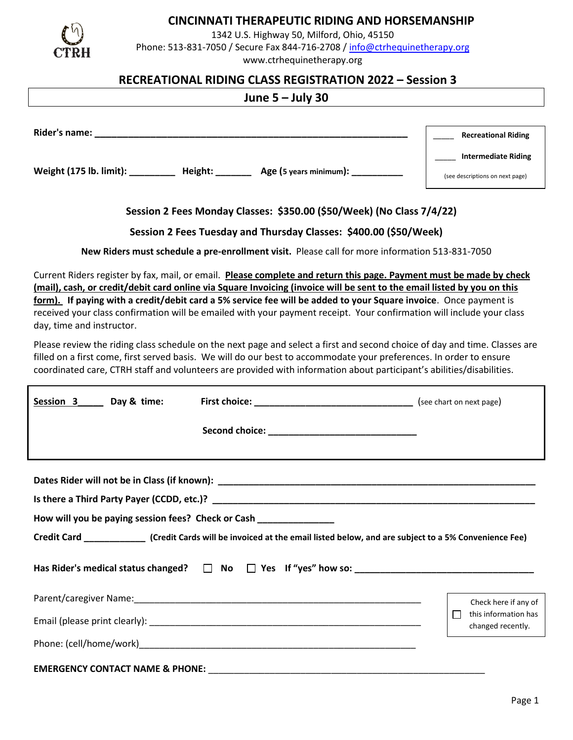

# **CINCINNATI THERAPEUTIC RIDING AND HORSEMANSHIP**

1342 U.S. Highway 50, Milford, Ohio, 45150 Phone: 513-831-7050 / Secure Fax 844-716-2708 / [info@ctrhequinetherapy.org](mailto:info@ctrhequinetherapy.org) www.ctrhequinetherapy.org

## **RECREATIONAL RIDING CLASS REGISTRATION 2022 – Session 3**

# **June 5 – July 30**

| Rider's name:           |         |                        | <b>Recreational Riding</b>      |
|-------------------------|---------|------------------------|---------------------------------|
|                         |         |                        | <b>Intermediate Riding</b>      |
| Weight (175 lb. limit): | Height: | Age (5 years minimum): | (see descriptions on next page) |

## **Session 2 Fees Monday Classes: \$350.00 (\$50/Week) (No Class 7/4/22)**

#### **Session 2 Fees Tuesday and Thursday Classes: \$400.00 (\$50/Week)**

**New Riders must schedule a pre-enrollment visit.** Please call for more information 513-831-7050

Current Riders register by fax, mail, or email. **Please complete and return this page. Payment must be made by check (mail), cash, or credit/debit card online via Square Invoicing (invoice will be sent to the email listed by you on this form). If paying with a credit/debit card a 5% service fee will be added to your Square invoice**. Once payment is received your class confirmation will be emailed with your payment receipt. Your confirmation will include your class day, time and instructor.

Please review the riding class schedule on the next page and select a first and second choice of day and time. Classes are filled on a first come, first served basis. We will do our best to accommodate your preferences. In order to ensure coordinated care, CTRH staff and volunteers are provided with information about participant's abilities/disabilities.

| Session 3 Day & time:                                                                                                                                                                              |  |                                           |  |  |
|----------------------------------------------------------------------------------------------------------------------------------------------------------------------------------------------------|--|-------------------------------------------|--|--|
|                                                                                                                                                                                                    |  |                                           |  |  |
| How will you be paying session fees? Check or Cash ______________<br>Credit Card _______________(Credit Cards will be invoiced at the email listed below, and are subject to a 5% Convenience Fee) |  |                                           |  |  |
|                                                                                                                                                                                                    |  |                                           |  |  |
|                                                                                                                                                                                                    |  | Check here if any of                      |  |  |
|                                                                                                                                                                                                    |  | this information has<br>changed recently. |  |  |
|                                                                                                                                                                                                    |  |                                           |  |  |
|                                                                                                                                                                                                    |  |                                           |  |  |